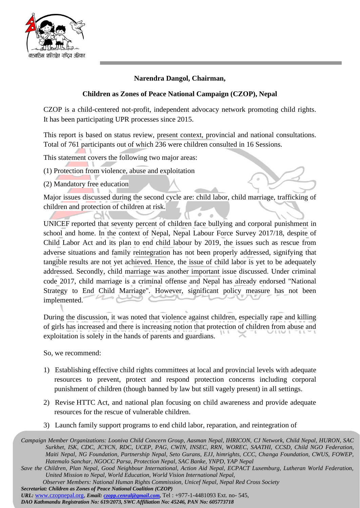

## **Narendra Dangol, Chairman,**

## **Children as Zones of Peace National Campaign (CZOP), Nepal**

CZOP is a child-centered not-profit, independent advocacy network promoting child rights. It has been participating UPR processes since 2015.

This report is based on status review, present context, provincial and national consultations. Total of 761 participants out of which 236 were children consulted in 16 Sessions.

This statement covers the following two major areas:

(1) Protection from violence, abuse and exploitation

(2) Mandatory free education

Major issues discussed during the second cycle are: child labor, child marriage, trafficking of children and protection of children at risk.

UNICEF reported that seventy percent of children face bullying and corporal punishment in school and home. In the context of Nepal, Nepal Labour Force Survey 2017/18, despite of Child Labor Act and its plan to end child labour by 2019, the issues such as rescue from adverse situations and family reintegration has not been properly addressed, signifying that tangible results are not yet achieved. Hence, the issue of child labor is yet to be adequately addressed. Secondly, child marriage was another important issue discussed. Under criminal code 2017, child marriage is a criminal offense and Nepal has already endorsed "National Strategy to End Child Marriage". However, significant policy measure has not been implemented.

During the discussion, it was noted that violence against children, especially rape and killing of girls has increased and there is increasing notion that protection of children from abuse and exploitation is solely in the hands of parents and guardians.

So, we recommend:

- 1) Establishing effective child rights committees at local and provincial levels with adequate resources to prevent, protect and respond protection concerns including corporal punishment of children (though banned by law but still vagely present) in all settings.
- 2) Revise HTTC Act, and national plan focusing on child awareness and provide adequate resources for the rescue of vulnerable children.
- 3) Launch family support programs to end child labor, reparation, and reintegration of

*URL:* [www.czopnepal.org,](http://www.czopnepal.org/) *Email[: czopp.cenral@gmail.com,](mailto:czopp.cenral@gmail.com)* Tel : +977-1-4481093 Ext. no- 545,

*DAO Kathmandu Registration No: 619/2073, SWC Affiliation No: 45246, PAN No: 605773718*

*Campaign Member Organizations: Looniva Child Concern Group, Aasman Nepal, IHRICON, CJ Network, Child Nepal, HURON, SAC Surkhet, ISK, CDC, JCYCN, RDC, UCEP, PAG, CWIN, INSEC, RRN, WOREC, SAATHI, CCSD, Child NGO Federation, Maiti Nepal, NG Foundation, Partnership Nepal, Seto Gurans, EJJ, himrights, CCC, Changa Foundation, CWUS, FOWEP, Hatemalo Sanchar, NGOCC Parsa, Protection Nepal, SAC Banke, YNPD, YAP Nepal*

*Save the Children, Plan Nepal, Good Neighbour International, Action Aid Nepal, ECPACT Luxemburg, Lutheran World Federation, United Mission to Nepal, World Education, World Vision International Nepal,*

*Observer Members: National Human Rights Commission, Unicef Nepal, Nepal Red Cross Society Secretariat: Children as Zones of Peace National Coalition (CZOP)*